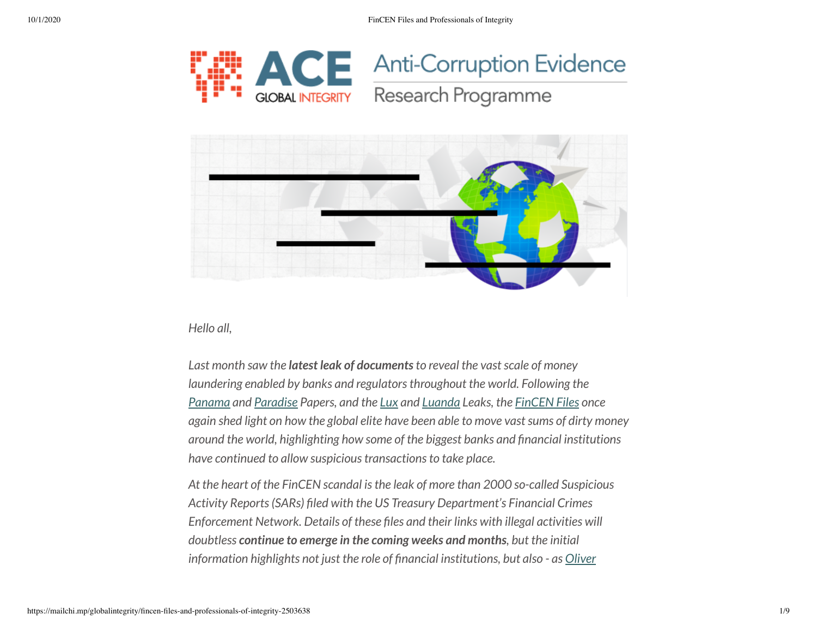





*Hello all,*

*Last month saw the latest leak of documentsto reveal the vastscale of money laundering enabled by banks and regulatorsthroughout the world. Following the [Panama](https://www.icij.org/investigations/panama-papers/) and [Paradise](https://ace.globalintegrity.org/shellcompanies/) Papers, and the [Lux](https://www.icij.org/investigations/luxembourg-leaks/) and [Luanda](https://www.icij.org/investigations/luanda-leaks/) Leaks, the [FinCEN](https://www.icij.org/investigations/fincen-files/what-is-the-fincen-files-investigation/) Files once again shed light on how the global elite have been able to move vastsums of dirty money around the world, highlighting how some of the biggest banks and nancial institutions have continued to allow suspicioustransactionsto take place.*

*At the heart of the FinCEN scandal isthe leak of more than 2000 so-called Suspicious Activity Reports(SARs) led with the US Treasury Department's Financial Crimes Enforcement Network. Details of these les and their links with illegal activities will doubtless continue to emerge in the coming weeks and months, but the initial [information highlights](https://twitter.com/OliverBullough?ref_src=twsrc%5Egoogle%7Ctwcamp%5Eserp%7Ctwgr%5Eauthor) not just the role of nancial institutions, but also - as Oliver*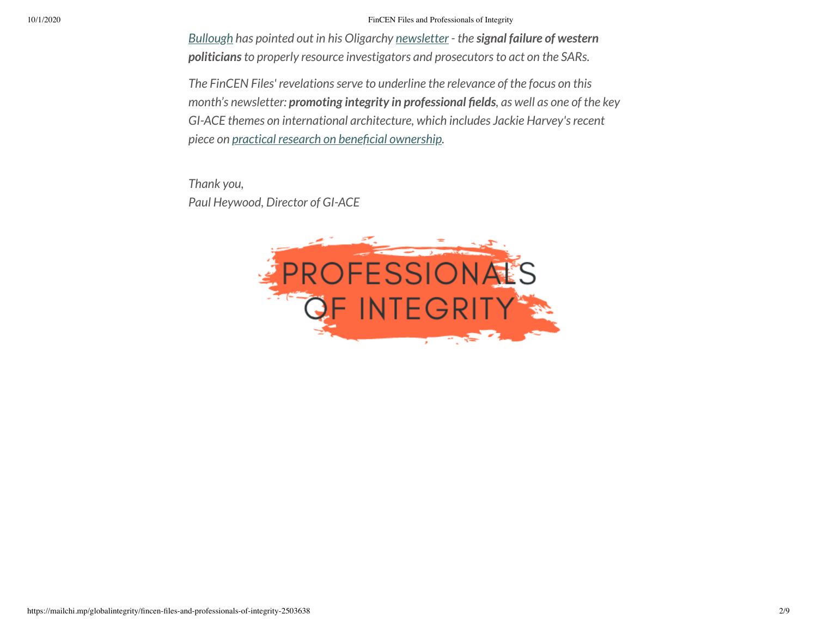10/1/2020 FinCEN Files and Professionals of Integrity

*Bullough has [pointed out](https://twitter.com/OliverBullough?ref_src=twsrc%5Egoogle%7Ctwcamp%5Eserp%7Ctwgr%5Eauthor) in his Oligarchy [newsletter](https://www.codastory.com/oligarchy/oligarchy-september-22/) - the signal failure of western politiciansto properly resource investigators and prosecutorsto act on the SARs.*

*The FinCEN Files' revelationsserve to underline the relevance of the focus on this month's newsletter: promoting integrity in professional elds, as well as one of the key GI-ACE themes on international architecture, which includes Jackie Harvey'srecent*  $p$ *iece on practical research on beneficial ownership.* 

*Thank you, Paul Heywood, Director of GI-ACE*

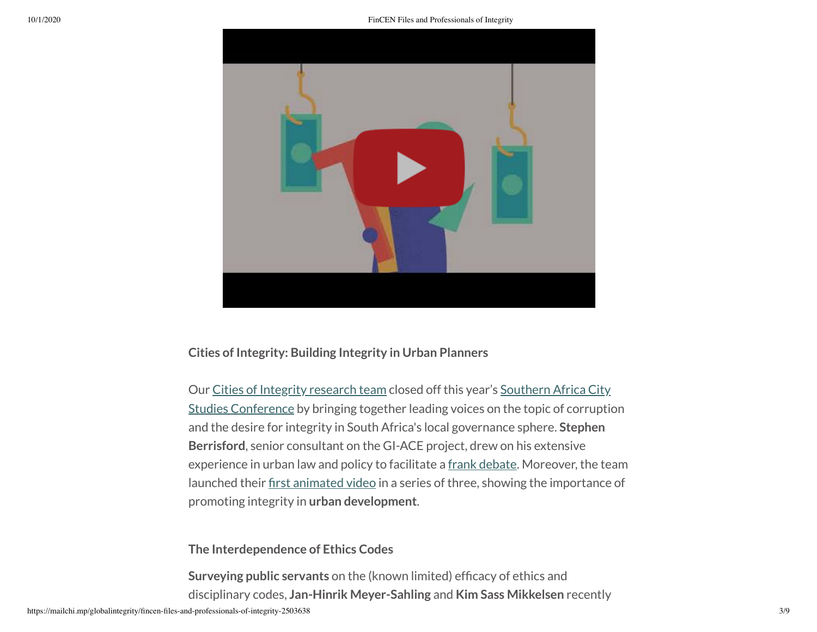

### **Cities of Integrity: Building Integrity in Urban Planners**

Our Cities of Integrity [research](https://ace.globalintegrity.org/projects/cities/) team closed off this year's Southern Africa City Studies [Conference](https://www.sacsc2020.com/#:~:text=Given%20the%20current%20Covid%2D19,of%20presentations%2C%20panels%20and%20events.) by bringing together leading voices on the topic of corruption and the desire for integrity in South Africa's local governance sphere. **Stephen Berrisford**, senior consultant on the GI-ACE project, drew on his extensive experience in urban law and policy to facilitate a frank [debate.](https://youtu.be/uWNMZUCq1d8) Moreover, the team launched their first [animated video](https://www.youtube.com/watch?v=YXS-IOulJHM&feature=youtu.be) in a series of three, showing the importance of promoting integrity in **urban development**.

### **The Interdependence of Ethics Codes**

**Surveying public servants** on the (known limited) efficacy of ethics and disciplinary codes, **Jan-Hinrik Meyer-Sahling** and **Kim Sass Mikkelsen** recently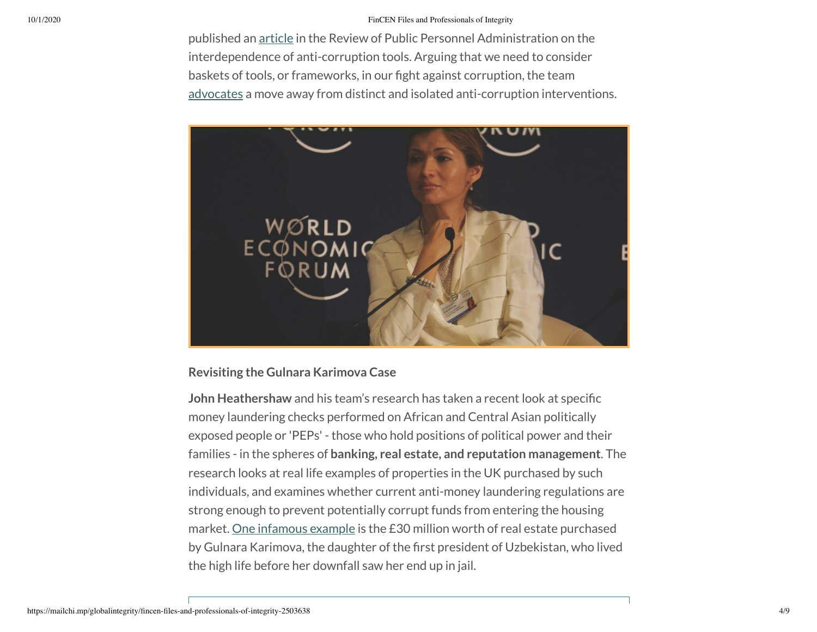#### 10/1/2020 FinCEN Files and Professionals of Integrity

published an [article](https://journals.sagepub.com/doi/abs/10.1177/0734371X20949420) in the Review of Public Personnel Administration on the interdependence of anti-corruption tools. Arguing that we need to consider baskets of tools, or frameworks, in our fight against corruption, the team [advocates](https://gint.info/ethicscodes) a move away from distinct and isolated anti-corruption interventions.



### **Revisiting the Gulnara Karimova Case**

**John Heathershaw** and his team's research has taken a recent look at specific money laundering checks performed on African and Central Asian politically exposed people or 'PEPs' - those who hold positions of political power and their families - in the spheres of **banking, real estate, and reputation management**. The research looks at real life examples of properties in the UK purchased by such individuals, and examines whether current anti-money laundering regulations are strong enough to prevent potentially corrupt funds from entering the housing market. One [infamous](http://bit.ly/Karimova) example is the £30 million worth of real estate purchased by Gulnara Karimova, the daughter of the first president of Uzbekistan, who lived the high life before her downfall saw her end up in jail.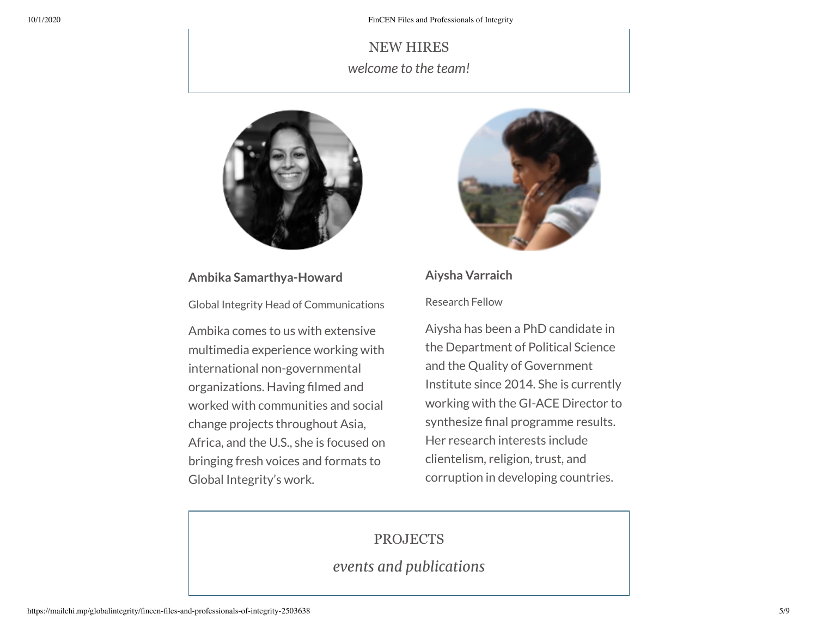NEW HIRES *welcome to the team!*



#### **Ambika Samarthya-Howard**

Global Integrity Head of Communications

Ambika comes to us with extensive multimedia experience working with international non-governmental organizations. Having filmed and worked with communities and social change projects throughout Asia, Africa, and the U.S., she is focused on bringing fresh voices and formats to Global Integrity's work.



## **Aiysha Varraich**

#### Research Fellow

Aiysha has been a PhD candidate in the Department of Political Science and the Quality of Government Institute since 2014. She is currently working with the GI-ACE Director to synthesize final programme results. Her research interests include clientelism, religion, trust, and corruption in developing countries.

## PROJECTS

*events and publications*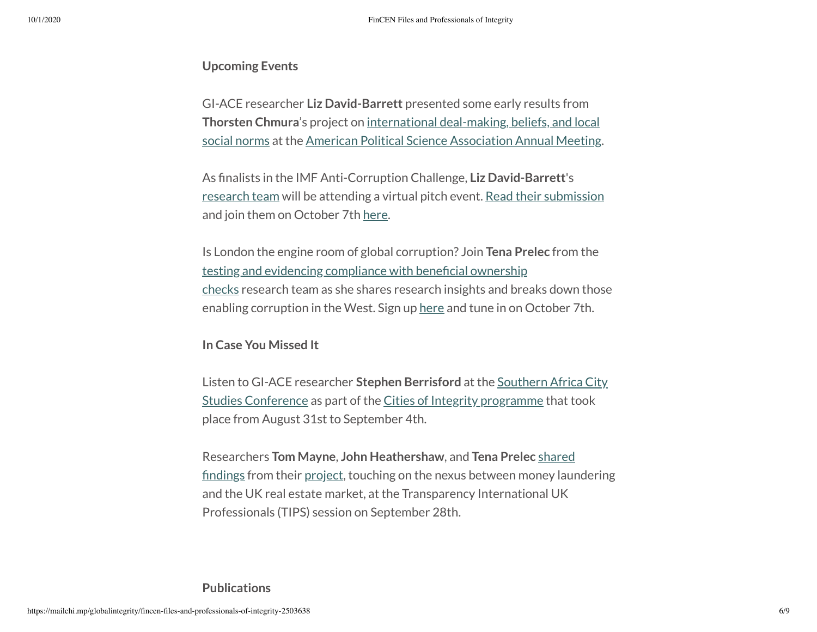### **Upcoming Events**

GI-ACE researcher **Liz David-Barrett** presented some early results from **Thorsten Chmura**'s project on [international](https://ace.globalintegrity.org/projects/socialnorms/) deal-making, beliefs, and local social norms at the American Political Science [Association](https://connect.apsanet.org/apsa2020/) Annual Meeting.

As nalists in the IMF Anti-Corruption Challenge, **Liz David-Barrett**'s [research](https://ace.globalintegrity.org/projects/socialnorms/) team will be attending a virtual pitch event. Read their [submission](https://imfilab.brightidea.com/D323) and join them on October 7th [here](https://imfilab.brightidea.com/D323?current_tab=Random&idea_count=8&exisitngIdeas=ED7A72D4-2318-11EA-8AD2-0E86B03ECB0E%7CC2B95867-20AF-11EA-8AD2-0E86B03ECB0E%7CBCD8D0CA-1F4F-11EA-8AD2-0E86B03ECB0E%7CE737125A-1872-11EA-8AD2-0E86B03ECB0E%7C76BBDA00-2318-11EA-8AD2-0E86B03ECB0E%7C619A02A6-236A-11EA-8AD2-0E86B03ECB0E%7C8AF33BFB-2386-11EA-8AD2-0E86B03ECB0E%7C929471DB-2383-11EA-8AD2-0E86B03ECB0E&status_id_filter=87F87CF6-E6CB-11E9-8AD2-0E86B03ECB0E).

Is London the engine room of global corruption? Join **Tena Prelec** from the [te](https://ace.globalintegrity.org/projects/benownerchecks/)sting [and evidencing](https://ace.globalintegrity.org/projects/benownerchecks/) compliance with beneficial ownership checks research team as she shares research insights and breaks down those enabling corruption in the West. Sign up [here](https://www.crowdcast.io/e/is-london-the-engine/register) and tune in on October 7th.

#### **In Case You Missed It**

Listen to GI-ACE researcher **Stephen Berrisford** at the Southern Africa City Studies [Conference](https://www.youtube.com/watch?v=uWNMZUCq1d8&feature=youtu.be) as part of the Cities of Integrity [programme](https://ace.globalintegrity.org/projects/cities/) that took place from August 31st to September 4th.

Researchers **Tom Mayne**, **John [Heathershaw](https://www.tipsnetwork.org/events/tips-online-networking-discussion-september-2020)**, and **Tena Prelec** shared findings from their [project,](https://ace.globalintegrity.org/projects/benownerchecks/) touching on the nexus between money laundering and the UK real estate market, at the Transparency International UK Professionals (TIPS) session on September 28th.

#### **Publications**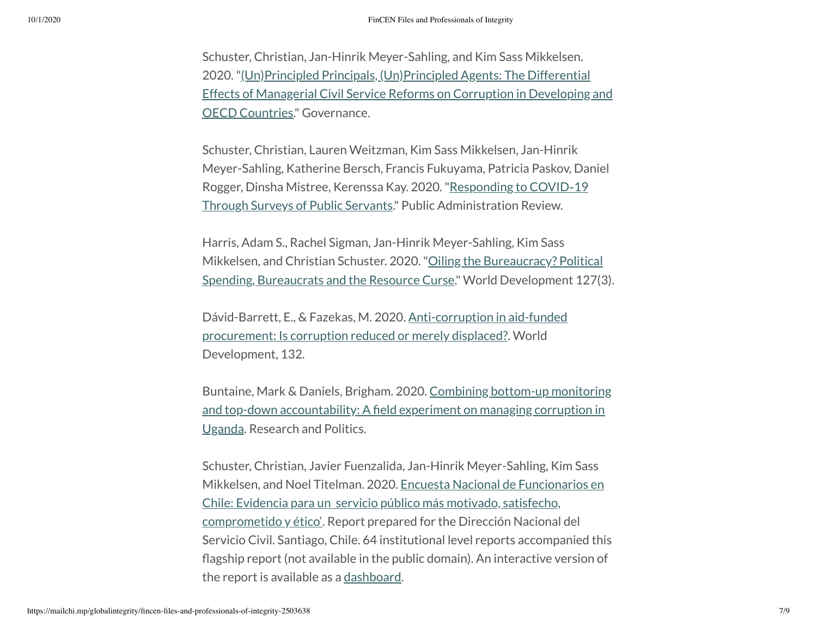Schuster, Christian, Jan-Hinrik Meyer-Sahling, and Kim Sass Mikkelsen. [2020."\(Un\)Principled Principals,](https://onlinelibrary.wiley.com/doi/full/10.1111/gove.12461) (Un)Principled Agents: The Differential Effects of Managerial Civil Service Reforms on Corruption in Developing and OECD Countries." Governance.

Schuster, Christian, Lauren Weitzman, Kim Sass Mikkelsen, Jan-Hinrik Meyer-Sahling, Katherine Bersch, Francis Fukuyama, Patricia Paskov, Daniel Rogger, Dinsha Mistree, Kerenssa Kay. 2020."Responding to COVID‐19 Through Surveys of Public Servants." [Public Administration](https://onlinelibrary.wiley.com/doi/full/10.1111/puar.13246) Review.

Harris, Adam S., Rachel Sigman, Jan-Hinrik Meyer-Sahling, Kim Sass Mikkelsen, and Christian Schuster. 2020. "Oiling the Bureaucracy? Political Spending, Bureaucrats and the Resource Curse." [World Development](https://www.sciencedirect.com/science/article/abs/pii/S0305750X19303948) 127(3).

Dávid-Barrett, E., & Fazekas, M. 2020. [Anti-corruption](https://www.sciencedirect.com/science/article/pii/S0305750X20301261?casa_token=Kyg_3_mdNmQAAAAA:iY5WHIPXRTAmXfKZgDCD3aNpzM5FuI0eCAmvdqtx1ewWZb8npArSCBPw2rtM9fJqKtuX173kCmw) in aid-funded procurement: Is corruption reduced or merely displaced?. World Development, 132.

Buntaine, Mark & Daniels, Brigham. 2020. Combining bottom-up monitoring and top-down accountability: A fi[eld experiment](https://journals.sagepub.com/doi/full/10.1177/2053168020934350) on managing corruption in Uganda. Research and Politics.

Schuster, Christian, Javier Fuenzalida, Jan-Hinrik Meyer-Sahling, Kim Sass Mikkelsen, and Noel Titelman. 2020. Encuesta Nacional de Funcionarios en Chile: Evidencia para un servicio público más motivado, satisfecho, [comprometido](https://www.serviciocivil.cl/wp-content/uploads/2020/01/Encuesta-Nacional-de-Funcionarios-Informe-General-FINAL-15ene2020-1.pdf) y ético'. Report prepared for the Dirección Nacional del Servicio Civil. Santiago, Chile. 64 institutional level reports accompanied this agship report (not available in the public domain). An interactive version of the report is available as a [dashboard](https://enf.serviciocivil.cl/encuesta2019/).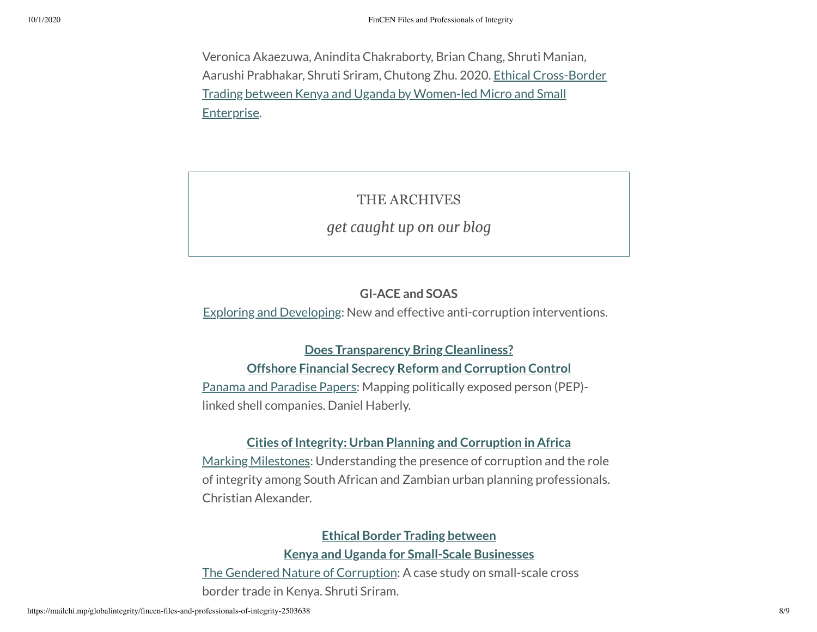Veronica Akaezuwa, Anindita Chakraborty, Brian Chang, Shruti Manian, Aarushi Prabhakar, Shruti Sriram, Chutong Zhu. 2020. Ethical Cross-Border Trading between Kenya and Uganda by [Women-led Micro](https://ace.globalintegrity.org/resources/ethical-cross-border-trading-between-kenya-and-uganda-by-women-led-micro-and-small-enterprises/) and Small Enterprise.

# THE ARCHIVES

## *get caught up on our blog*

## **GI-ACE and SOAS**

Exploring [and Developing](https://ace.globalintegrity.org/ace/): New and effective anti-corruption interventions.

## **Does [Transparency](https://ace.globalintegrity.org/projects/transparency/) Bring Cleanliness?**

## **Offshore Financial Secrecy Reform and Corruption Control**

Panama [and Paradise](https://ace.globalintegrity.org/shellcompanies/) Papers: Mapping politically exposed person (PEP) linked shell companies. Daniel Haberly.

## **Cities of Integrity: Urban Planning and [Corruption](https://ace.globalintegrity.org/projects/cities/) in Africa**

Marking [Milestones](https://ace.globalintegrity.org/citiesofintegrity/): Understanding the presence of corruption and the role of integrity among South African and Zambian urban planning professionals. Christian Alexander.

## **Ethical Border Trading between**

### **Kenya and Uganda for [Small-Scale](https://ace.globalintegrity.org/projects/trading/) Businesses**

The [Gendered Nature](https://ace.globalintegrity.org/the-gendered-nature-of-corruption/) of Corruption: A case study on small-scale cross border trade in Kenya. Shruti Sriram.